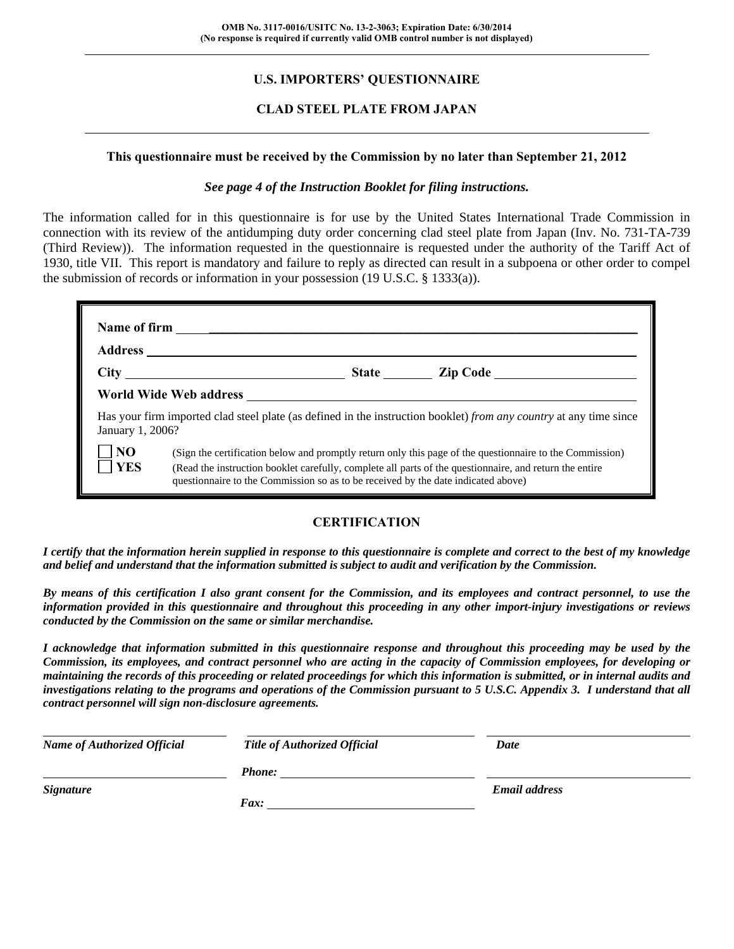#### **U.S. IMPORTERS' QUESTIONNAIRE**

#### **CLAD STEEL PLATE FROM JAPAN**

#### **This questionnaire must be received by the Commission by no later than September 21, 2012**

#### *See page 4 of the Instruction Booklet for filing instructions.*

The information called for in this questionnaire is for use by the United States International Trade Commission in connection with its review of the antidumping duty order concerning clad steel plate from Japan (Inv. No. 731-TA-739 (Third Review)). The information requested in the questionnaire is requested under the authority of the Tariff Act of 1930, title VII. This report is mandatory and failure to reply as directed can result in a subpoena or other order to compel the submission of records or information in your possession (19 U.S.C. § 1333(a)).

| January 1, 2006?        | Has your firm imported clad steel plate (as defined in the instruction booklet) from any country at any time since                                                                                                                                                                                       |
|-------------------------|----------------------------------------------------------------------------------------------------------------------------------------------------------------------------------------------------------------------------------------------------------------------------------------------------------|
| N <sub>O</sub><br>7 YES | (Sign the certification below and promptly return only this page of the questionnaire to the Commission)<br>(Read the instruction booklet carefully, complete all parts of the questionnaire, and return the entire<br>questionnaire to the Commission so as to be received by the date indicated above) |

#### **CERTIFICATION**

*I certify that the information herein supplied in response to this questionnaire is complete and correct to the best of my knowledge and belief and understand that the information submitted is subject to audit and verification by the Commission.* 

*By means of this certification I also grant consent for the Commission, and its employees and contract personnel, to use the information provided in this questionnaire and throughout this proceeding in any other import-injury investigations or reviews conducted by the Commission on the same or similar merchandise.* 

*I acknowledge that information submitted in this questionnaire response and throughout this proceeding may be used by the Commission, its employees, and contract personnel who are acting in the capacity of Commission employees, for developing or maintaining the records of this proceeding or related proceedings for which this information is submitted, or in internal audits and investigations relating to the programs and operations of the Commission pursuant to 5 U.S.C. Appendix 3. I understand that all contract personnel will sign non-disclosure agreements.* 

| <b>Name of Authorized Official</b> | Title of Authorized Official | Date                 |  |
|------------------------------------|------------------------------|----------------------|--|
|                                    | <b>Phone:</b>                |                      |  |
| <b>Signature</b>                   |                              | <b>Email address</b> |  |
|                                    | <i>Fax:</i>                  |                      |  |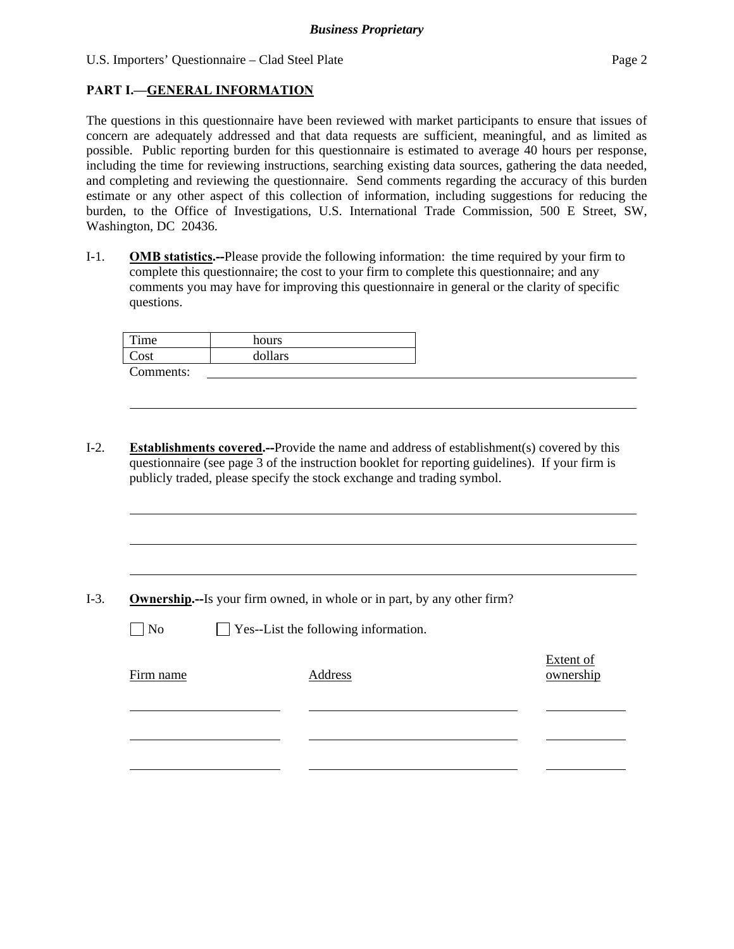#### **PART I.—GENERAL INFORMATION**

The questions in this questionnaire have been reviewed with market participants to ensure that issues of concern are adequately addressed and that data requests are sufficient, meaningful, and as limited as possible. Public reporting burden for this questionnaire is estimated to average 40 hours per response, including the time for reviewing instructions, searching existing data sources, gathering the data needed, and completing and reviewing the questionnaire. Send comments regarding the accuracy of this burden estimate or any other aspect of this collection of information, including suggestions for reducing the burden, to the Office of Investigations, U.S. International Trade Commission, 500 E Street, SW, Washington, DC 20436.

I-1. **OMB statistics.--**Please provide the following information: the time required by your firm to complete this questionnaire; the cost to your firm to complete this questionnaire; and any comments you may have for improving this questionnaire in general or the clarity of specific questions.

| Time          | hours   |
|---------------|---------|
| $\text{Cost}$ | dollars |
| Comments:     |         |

I-2. **Establishments covered.--**Provide the name and address of establishment(s) covered by this questionnaire (see page 3 of the instruction booklet for reporting guidelines). If your firm is publicly traded, please specify the stock exchange and trading symbol.

I-3. **Ownership.--**Is your firm owned, in whole or in part, by any other firm?

l

 $\Box$  No  $\Box$  Yes--List the following information.

| Firm name | Address | <b>Extent of</b><br>ownership |
|-----------|---------|-------------------------------|
|           |         |                               |
|           |         |                               |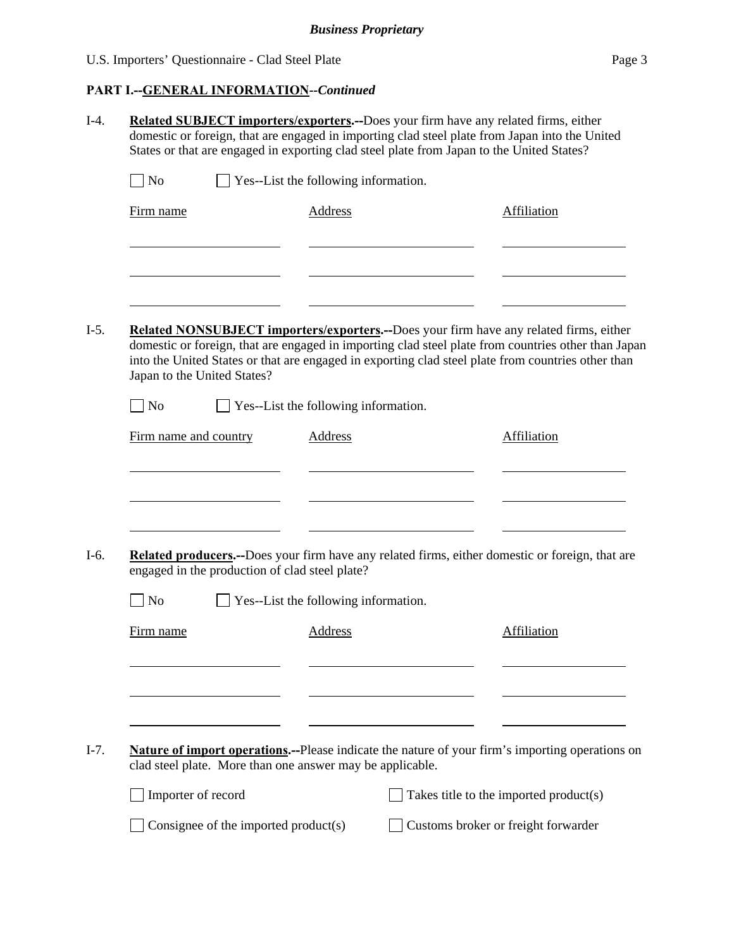### **PART I.--GENERAL INFORMATION***--Continued*

| N <sub>0</sub>        | $\Box$ Yes--List the following information.               |                                      |                                                                                                                                                                                                           |
|-----------------------|-----------------------------------------------------------|--------------------------------------|-----------------------------------------------------------------------------------------------------------------------------------------------------------------------------------------------------------|
| Firm name             |                                                           | <b>Address</b>                       | Affiliation                                                                                                                                                                                               |
|                       |                                                           |                                      |                                                                                                                                                                                                           |
|                       |                                                           |                                      |                                                                                                                                                                                                           |
|                       |                                                           |                                      |                                                                                                                                                                                                           |
|                       |                                                           |                                      | Related NONSUBJECT importers/exporters.--Does your firm have any related firms, either                                                                                                                    |
|                       | Japan to the United States?                               |                                      | domestic or foreign, that are engaged in importing clad steel plate from countries other than Japan<br>into the United States or that are engaged in exporting clad steel plate from countries other than |
| $\exists$ No          |                                                           | Yes--List the following information. |                                                                                                                                                                                                           |
| Firm name and country |                                                           | Address                              | Affiliation                                                                                                                                                                                               |
|                       |                                                           |                                      |                                                                                                                                                                                                           |
|                       |                                                           |                                      |                                                                                                                                                                                                           |
|                       |                                                           |                                      |                                                                                                                                                                                                           |
|                       | engaged in the production of clad steel plate?            |                                      | Related producers.--Does your firm have any related firms, either domestic or foreign, that are                                                                                                           |
|                       |                                                           | Yes--List the following information. |                                                                                                                                                                                                           |
| N <sub>o</sub>        |                                                           |                                      | Affiliation                                                                                                                                                                                               |
| Firm name             |                                                           | Address                              |                                                                                                                                                                                                           |
|                       |                                                           |                                      |                                                                                                                                                                                                           |
|                       |                                                           |                                      |                                                                                                                                                                                                           |
|                       |                                                           |                                      |                                                                                                                                                                                                           |
|                       |                                                           |                                      |                                                                                                                                                                                                           |
|                       | clad steel plate. More than one answer may be applicable. |                                      |                                                                                                                                                                                                           |
| Importer of record    |                                                           |                                      | <b>Nature of import operations.</b> --Please indicate the nature of your firm's importing operations on<br>Takes title to the imported product(s)                                                         |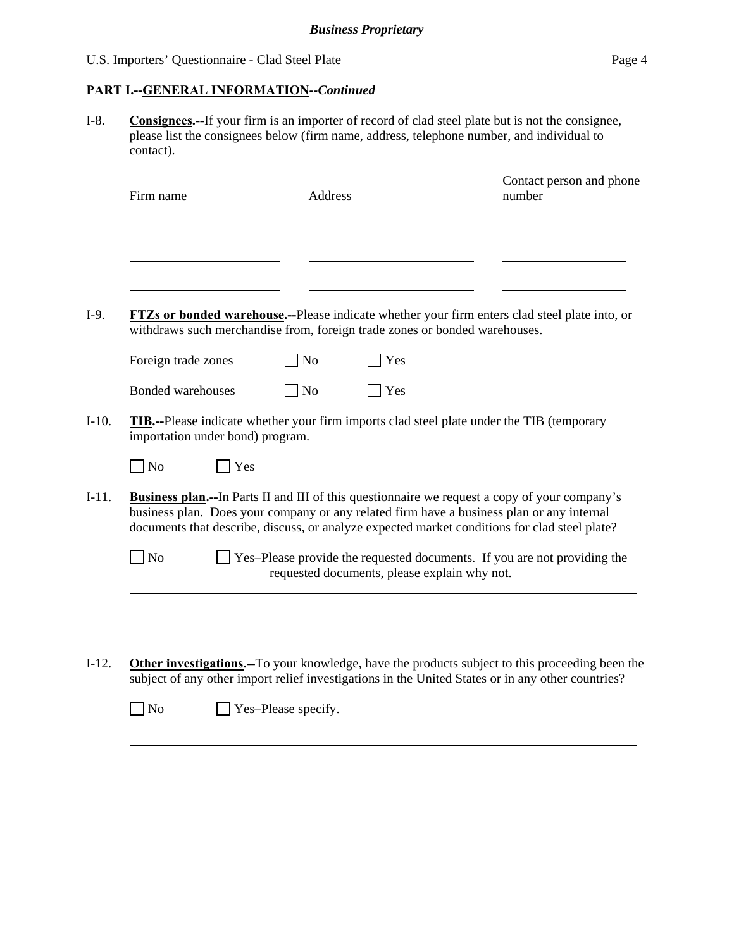#### **PART I.--GENERAL INFORMATION***--Continued*

I-8. **Consignees.--**If your firm is an importer of record of clad steel plate but is not the consignee, please list the consignees below (firm name, address, telephone number, and individual to contact).

| Firm name      |                          |                                  | Address                     |                                              | Contact person and phone<br>number                                                                                                                                                                                                                                                                 |
|----------------|--------------------------|----------------------------------|-----------------------------|----------------------------------------------|----------------------------------------------------------------------------------------------------------------------------------------------------------------------------------------------------------------------------------------------------------------------------------------------------|
|                |                          |                                  |                             |                                              |                                                                                                                                                                                                                                                                                                    |
|                |                          |                                  |                             |                                              |                                                                                                                                                                                                                                                                                                    |
|                |                          |                                  |                             |                                              | <b>FTZs or bonded warehouse.</b> --Please indicate whether your firm enters clad steel plate into, or<br>withdraws such merchandise from, foreign trade zones or bonded warehouses.                                                                                                                |
|                | Foreign trade zones      |                                  | N <sub>o</sub>              | Yes                                          |                                                                                                                                                                                                                                                                                                    |
|                | <b>Bonded warehouses</b> |                                  | $\overline{\phantom{1}}$ No | Yes                                          |                                                                                                                                                                                                                                                                                                    |
|                |                          | importation under bond) program. |                             |                                              | <b>TIB.</b> --Please indicate whether your firm imports clad steel plate under the TIB (temporary                                                                                                                                                                                                  |
| N <sub>o</sub> |                          | Yes                              |                             |                                              |                                                                                                                                                                                                                                                                                                    |
|                |                          |                                  |                             |                                              | <b>Business plan.</b> —In Parts II and III of this questionnaire we request a copy of your company's<br>business plan. Does your company or any related firm have a business plan or any internal<br>documents that describe, discuss, or analyze expected market conditions for clad steel plate? |
| N <sub>o</sub> |                          |                                  |                             | requested documents, please explain why not. | Yes-Please provide the requested documents. If you are not providing the                                                                                                                                                                                                                           |
|                |                          |                                  |                             |                                              |                                                                                                                                                                                                                                                                                                    |
|                |                          |                                  |                             |                                              | <b>Other investigations.</b> —To your knowledge, have the products subject to this proceeding been the                                                                                                                                                                                             |
|                |                          |                                  |                             |                                              | subject of any other import relief investigations in the United States or in any other countries?                                                                                                                                                                                                  |
|                |                          |                                  |                             |                                              |                                                                                                                                                                                                                                                                                                    |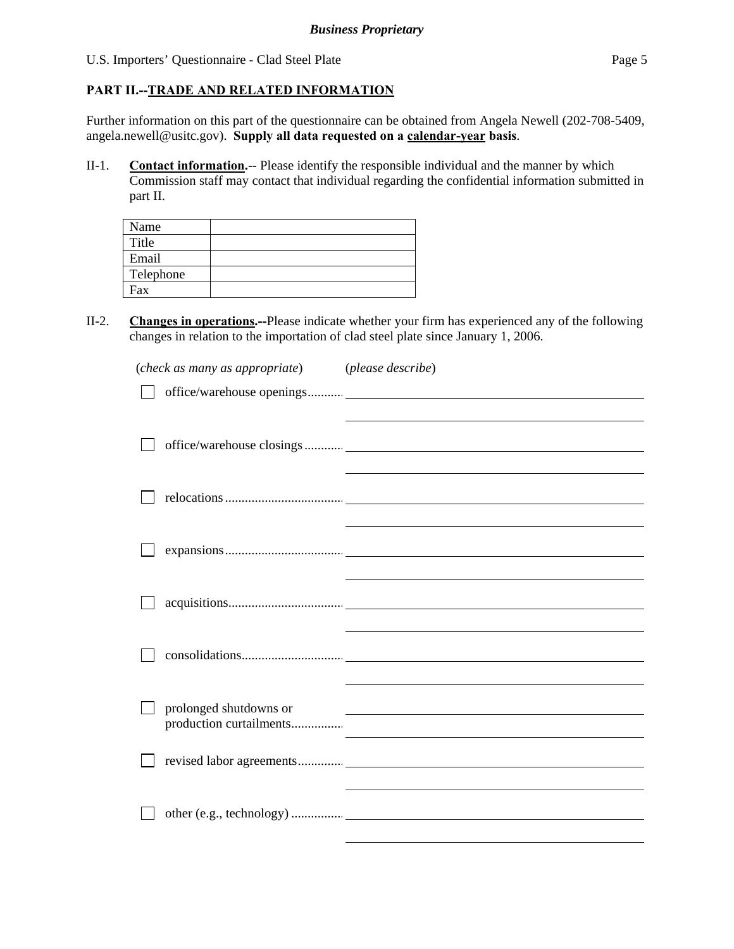#### **PART II.--TRADE AND RELATED INFORMATION**

Further information on this part of the questionnaire can be obtained from Angela Newell (202-708-5409, angela.newell@usitc.gov). **Supply all data requested on a calendar-year basis**.

II-1. **Contact information.**-- Please identify the responsible individual and the manner by which Commission staff may contact that individual regarding the confidential information submitted in part II.

| Name      |  |
|-----------|--|
| Title     |  |
| Email     |  |
| Telephone |  |
| Fax       |  |

II-2. **Changes in operations.--**Please indicate whether your firm has experienced any of the following changes in relation to the importation of clad steel plate since January 1, 2006.

| (check as many as appropriate) (please describe) |                                                                                                                                                                                                                               |
|--------------------------------------------------|-------------------------------------------------------------------------------------------------------------------------------------------------------------------------------------------------------------------------------|
|                                                  |                                                                                                                                                                                                                               |
|                                                  | the contract of the contract of the contract of the contract of the contract of the contract of the                                                                                                                           |
|                                                  |                                                                                                                                                                                                                               |
|                                                  | the control of the control of the control of the control of the control of the control of the control of the control of the control of the control of the control of the control of the control of the control of the control |
|                                                  |                                                                                                                                                                                                                               |
|                                                  |                                                                                                                                                                                                                               |
| prolonged shutdowns or                           | <u> 1989 - Andrea Andrew Maria (h. 1989).</u>                                                                                                                                                                                 |
|                                                  |                                                                                                                                                                                                                               |
|                                                  |                                                                                                                                                                                                                               |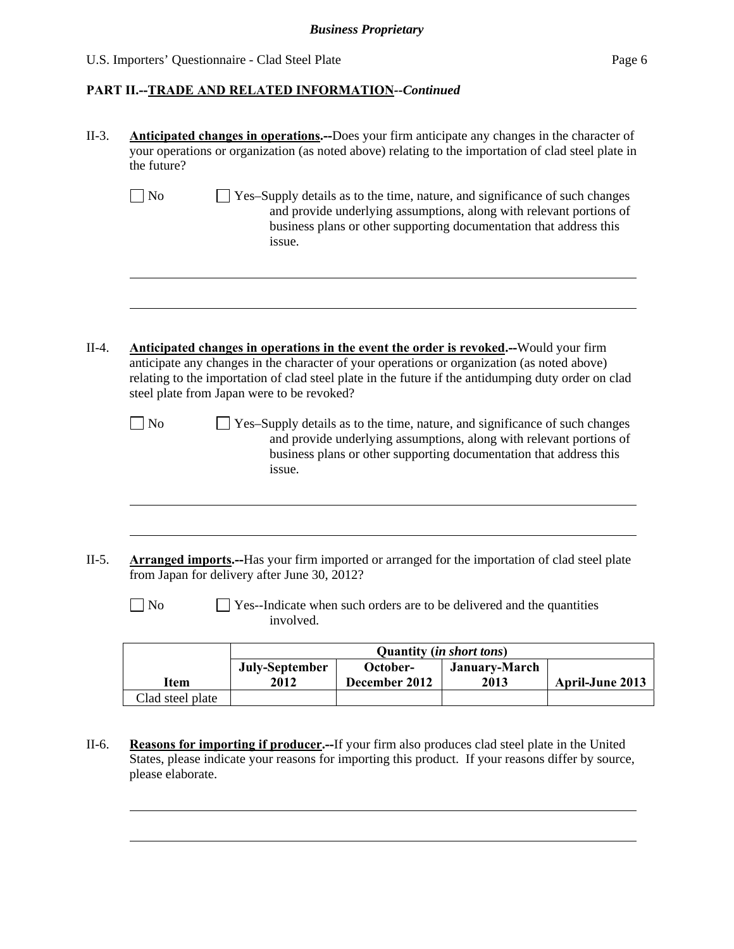#### *Business Proprietary*

U.S. Importers' Questionnaire - Clad Steel Plate Page 6

l

| No                      | <b>Arranged imports.</b> --Has your firm imported or arranged for the importation of clad steel plate<br>from Japan for delivery after June 30, 2012?<br>involved.<br>July-September                                                                                                                                                              | Yes--Indicate when such orders are to be delivered and the quantities<br><b>Quantity (in short tons)</b><br>October-                                                                                                     | January-March |  |
|-------------------------|---------------------------------------------------------------------------------------------------------------------------------------------------------------------------------------------------------------------------------------------------------------------------------------------------------------------------------------------------|--------------------------------------------------------------------------------------------------------------------------------------------------------------------------------------------------------------------------|---------------|--|
|                         |                                                                                                                                                                                                                                                                                                                                                   |                                                                                                                                                                                                                          |               |  |
|                         |                                                                                                                                                                                                                                                                                                                                                   |                                                                                                                                                                                                                          |               |  |
|                         |                                                                                                                                                                                                                                                                                                                                                   |                                                                                                                                                                                                                          |               |  |
| $\log$                  | Yes-Supply details as to the time, nature, and significance of such changes<br>issue.                                                                                                                                                                                                                                                             | and provide underlying assumptions, along with relevant portions of<br>business plans or other supporting documentation that address this                                                                                |               |  |
|                         | <b>Anticipated changes in operations in the event the order is revoked.</b> --Would your firm<br>anticipate any changes in the character of your operations or organization (as noted above)<br>relating to the importation of clad steel plate in the future if the antidumping duty order on clad<br>steel plate from Japan were to be revoked? |                                                                                                                                                                                                                          |               |  |
|                         | issue.                                                                                                                                                                                                                                                                                                                                            |                                                                                                                                                                                                                          |               |  |
| $\sqrt{\phantom{a}}$ No |                                                                                                                                                                                                                                                                                                                                                   | Yes-Supply details as to the time, nature, and significance of such changes<br>and provide underlying assumptions, along with relevant portions of<br>business plans or other supporting documentation that address this |               |  |
|                         |                                                                                                                                                                                                                                                                                                                                                   |                                                                                                                                                                                                                          |               |  |

II-6. **Reasons for importing if producer.--**If your firm also produces clad steel plate in the United States, please indicate your reasons for importing this product. If your reasons differ by source, please elaborate.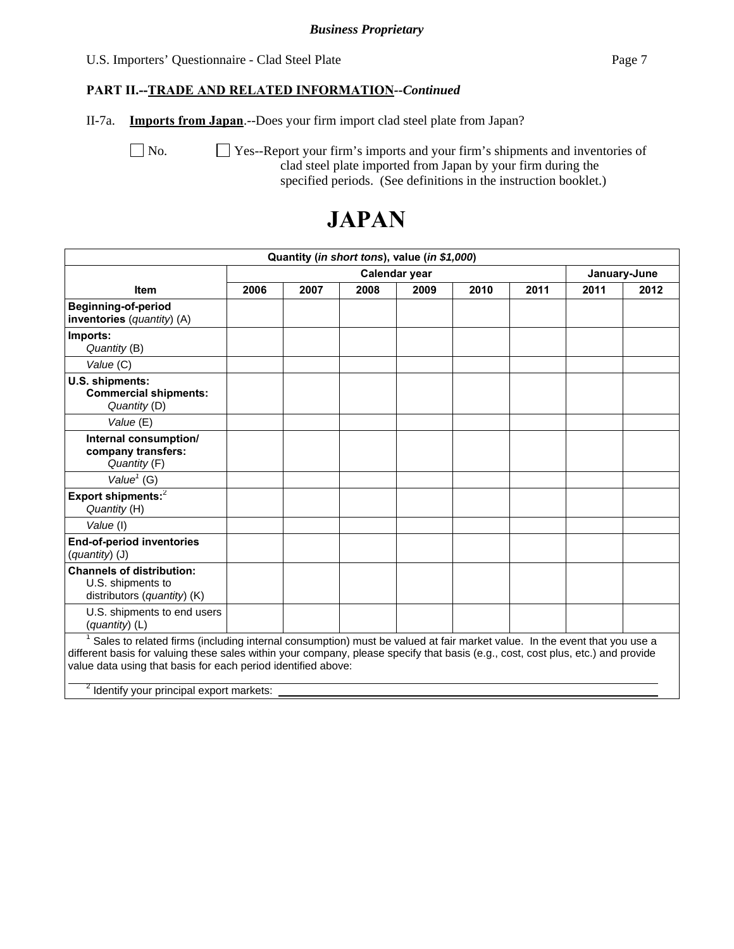#### *Business Proprietary*

#### U.S. Importers' Questionnaire - Clad Steel Plate Page 7

#### **PART II.--TRADE AND RELATED INFORMATION***--Continued*

II-7a. **Imports from Japan**.--Does your firm import clad steel plate from Japan?

No.  $\Box$  Yes--Report your firm's imports and your firm's shipments and inventories of clad steel plate imported from Japan by your firm during the specified periods. (See definitions in the instruction booklet.)

# **JAPAN**

| Quantity (in short tons), value (in \$1,000)                                                                                                                                                                                                                                                                                                                                          |      |      |      |               |      |      |      |              |
|---------------------------------------------------------------------------------------------------------------------------------------------------------------------------------------------------------------------------------------------------------------------------------------------------------------------------------------------------------------------------------------|------|------|------|---------------|------|------|------|--------------|
|                                                                                                                                                                                                                                                                                                                                                                                       |      |      |      | Calendar year |      |      |      | January-June |
| <b>Item</b>                                                                                                                                                                                                                                                                                                                                                                           | 2006 | 2007 | 2008 | 2009          | 2010 | 2011 | 2011 | 2012         |
| <b>Beginning-of-period</b><br>inventories (quantity) (A)                                                                                                                                                                                                                                                                                                                              |      |      |      |               |      |      |      |              |
| Imports:<br>Quantity (B)                                                                                                                                                                                                                                                                                                                                                              |      |      |      |               |      |      |      |              |
| Value (C)                                                                                                                                                                                                                                                                                                                                                                             |      |      |      |               |      |      |      |              |
| U.S. shipments:<br><b>Commercial shipments:</b><br>Quantity (D)                                                                                                                                                                                                                                                                                                                       |      |      |      |               |      |      |      |              |
| Value (E)                                                                                                                                                                                                                                                                                                                                                                             |      |      |      |               |      |      |      |              |
| Internal consumption/<br>company transfers:<br>Quantity (F)                                                                                                                                                                                                                                                                                                                           |      |      |      |               |      |      |      |              |
| Value <sup>1</sup> (G)                                                                                                                                                                                                                                                                                                                                                                |      |      |      |               |      |      |      |              |
| Export shipments: <sup>2</sup><br>Quantity (H)                                                                                                                                                                                                                                                                                                                                        |      |      |      |               |      |      |      |              |
| Value (I)                                                                                                                                                                                                                                                                                                                                                                             |      |      |      |               |      |      |      |              |
| <b>End-of-period inventories</b><br>$(quantity)$ (J)                                                                                                                                                                                                                                                                                                                                  |      |      |      |               |      |      |      |              |
| <b>Channels of distribution:</b><br>U.S. shipments to<br>distributors (quantity) (K)                                                                                                                                                                                                                                                                                                  |      |      |      |               |      |      |      |              |
| U.S. shipments to end users<br>(quantity) (L)                                                                                                                                                                                                                                                                                                                                         |      |      |      |               |      |      |      |              |
| Sales to related firms (including internal consumption) must be valued at fair market value. In the event that you use a<br>different basis for valuing these sales within your company, please specify that basis (e.g., cost, cost plus, etc.) and provide<br>value data using that basis for each period identified above:<br><sup>2</sup> Identify your principal export markets: |      |      |      |               |      |      |      |              |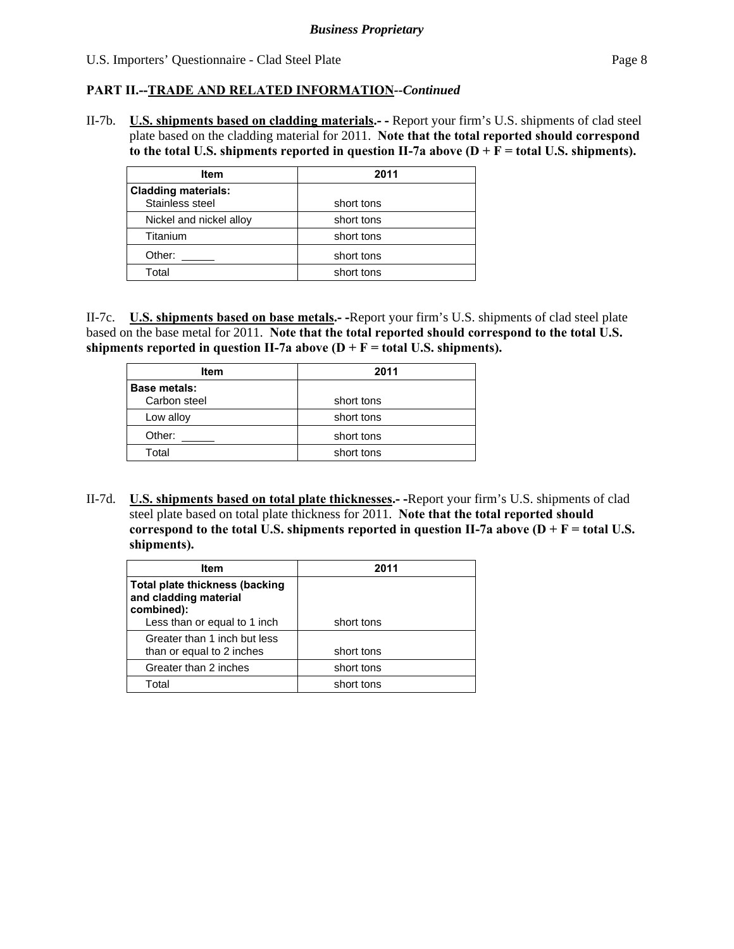#### **PART II.--TRADE AND RELATED INFORMATION***--Continued*

II-7b. **U.S. shipments based on cladding materials.- -** Report your firm's U.S. shipments of clad steel plate based on the cladding material for 2011. **Note that the total reported should correspond**  to the total U.S. shipments reported in question II-7a above  $(D + F = total U.S.$  shipments).

| <b>Item</b>                                   | 2011       |
|-----------------------------------------------|------------|
| <b>Cladding materials:</b><br>Stainless steel | short tons |
| Nickel and nickel alloy                       | short tons |
| Titanium                                      | short tons |
| Other:                                        | short tons |
| Total                                         | short tons |

II-7c. **U.S. shipments based on base metals.- -**Report your firm's U.S. shipments of clad steel plate based on the base metal for 2011. **Note that the total reported should correspond to the total U.S.**  shipments reported in question II-7a above  $(D + F = total U.S.$  shipments).

| Item                | 2011       |
|---------------------|------------|
| <b>Base metals:</b> |            |
| Carbon steel        | short tons |
| Low alloy           | short tons |
| Other:              | short tons |
| Total               | short tons |

II-7d. **U.S. shipments based on total plate thicknesses.- -**Report your firm's U.S. shipments of clad steel plate based on total plate thickness for 2011. **Note that the total reported should**  correspond to the total U.S. shipments reported in question II-7a above  $(D + F = total U.S.$ **shipments).** 

| ltem                                                    | 2011       |
|---------------------------------------------------------|------------|
| Total plate thickness (backing<br>and cladding material |            |
| combined):                                              |            |
| Less than or equal to 1 inch                            | short tons |
| Greater than 1 inch but less                            |            |
| than or equal to 2 inches                               | short tons |
| Greater than 2 inches                                   | short tons |
| Total                                                   | short tons |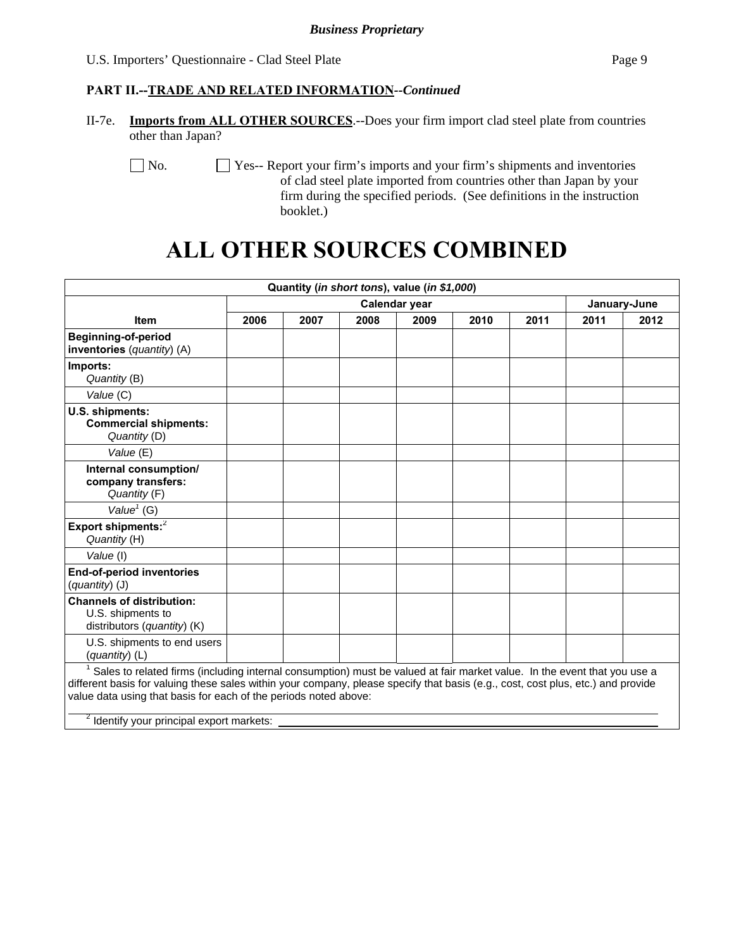#### **PART II.--TRADE AND RELATED INFORMATION***--Continued*

II-7e. **Imports from ALL OTHER SOURCES**.--Does your firm import clad steel plate from countries other than Japan?

No.  $\Box$  Yes-- Report your firm's imports and your firm's shipments and inventories of clad steel plate imported from countries other than Japan by your firm during the specified periods. (See definitions in the instruction booklet.)

# **ALL OTHER SOURCES COMBINED**

| Quantity (in short tons), value (in \$1,000)                                                                                                                                                                                                                                                                                                                                             |               |      |      |      |      |      |              |      |
|------------------------------------------------------------------------------------------------------------------------------------------------------------------------------------------------------------------------------------------------------------------------------------------------------------------------------------------------------------------------------------------|---------------|------|------|------|------|------|--------------|------|
|                                                                                                                                                                                                                                                                                                                                                                                          | Calendar year |      |      |      |      |      | January-June |      |
| <b>Item</b>                                                                                                                                                                                                                                                                                                                                                                              | 2006          | 2007 | 2008 | 2009 | 2010 | 2011 | 2011         | 2012 |
| <b>Beginning-of-period</b><br>inventories (quantity) (A)                                                                                                                                                                                                                                                                                                                                 |               |      |      |      |      |      |              |      |
| Imports:<br>Quantity (B)                                                                                                                                                                                                                                                                                                                                                                 |               |      |      |      |      |      |              |      |
| Value (C)                                                                                                                                                                                                                                                                                                                                                                                |               |      |      |      |      |      |              |      |
| U.S. shipments:<br><b>Commercial shipments:</b><br>Quantity (D)                                                                                                                                                                                                                                                                                                                          |               |      |      |      |      |      |              |      |
| Value (E)                                                                                                                                                                                                                                                                                                                                                                                |               |      |      |      |      |      |              |      |
| Internal consumption/<br>company transfers:<br>Quantity (F)                                                                                                                                                                                                                                                                                                                              |               |      |      |      |      |      |              |      |
| Value $1$ (G)                                                                                                                                                                                                                                                                                                                                                                            |               |      |      |      |      |      |              |      |
| Export shipments: <sup>2</sup><br>Quantity (H)                                                                                                                                                                                                                                                                                                                                           |               |      |      |      |      |      |              |      |
| Value (I)                                                                                                                                                                                                                                                                                                                                                                                |               |      |      |      |      |      |              |      |
| <b>End-of-period inventories</b><br>$(quantity)$ (J)                                                                                                                                                                                                                                                                                                                                     |               |      |      |      |      |      |              |      |
| <b>Channels of distribution:</b><br>U.S. shipments to<br>distributors (quantity) (K)                                                                                                                                                                                                                                                                                                     |               |      |      |      |      |      |              |      |
| U.S. shipments to end users<br>(quantity) (L)                                                                                                                                                                                                                                                                                                                                            |               |      |      |      |      |      |              |      |
| Sales to related firms (including internal consumption) must be valued at fair market value. In the event that you use a<br>different basis for valuing these sales within your company, please specify that basis (e.g., cost, cost plus, etc.) and provide<br>value data using that basis for each of the periods noted above:<br><sup>2</sup> Identify your principal export markets: |               |      |      |      |      |      |              |      |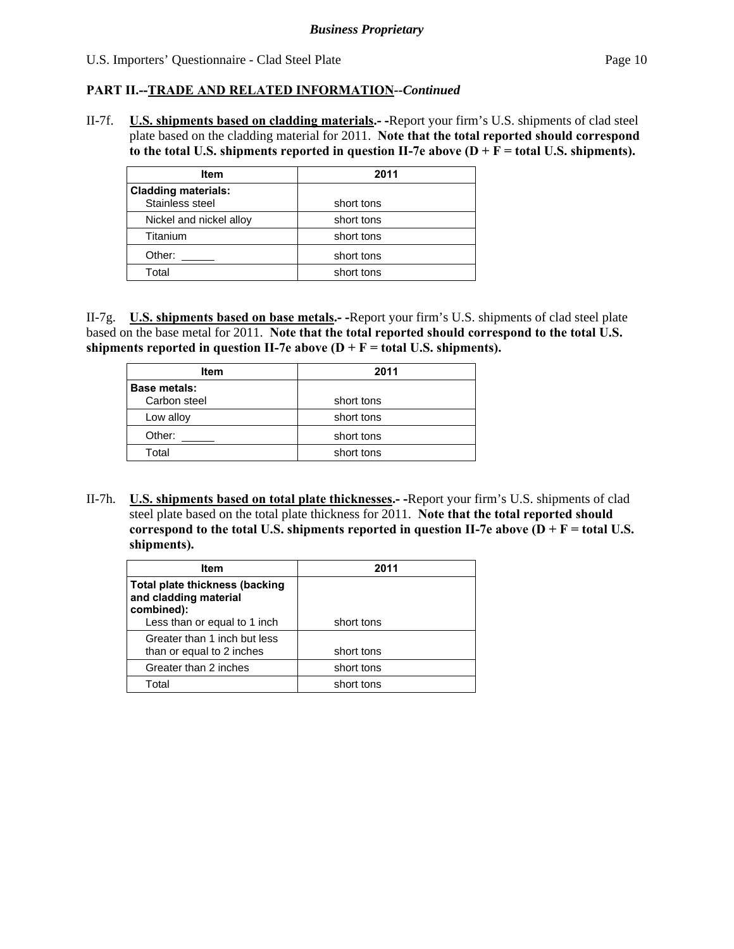#### **PART II.--TRADE AND RELATED INFORMATION***--Continued*

II-7f. **U.S. shipments based on cladding materials.- -**Report your firm's U.S. shipments of clad steel plate based on the cladding material for 2011. **Note that the total reported should correspond**  to the total U.S. shipments reported in question II-7e above  $(D + F = total U.S.$  shipments).

| <b>Item</b>                                   | 2011       |
|-----------------------------------------------|------------|
| <b>Cladding materials:</b><br>Stainless steel | short tons |
| Nickel and nickel alloy                       | short tons |
| Titanium                                      | short tons |
| Other:                                        | short tons |
| Total                                         | short tons |

II-7g. **U.S. shipments based on base metals.- -**Report your firm's U.S. shipments of clad steel plate based on the base metal for 2011. **Note that the total reported should correspond to the total U.S.**  shipments reported in question II-7e above  $(D + F = total U.S.$  shipments).

| <b>Item</b>         | 2011       |
|---------------------|------------|
| <b>Base metals:</b> |            |
| Carbon steel        | short tons |
| Low alloy           | short tons |
| Other:              | short tons |
| Total               | short tons |

II-7h. **U.S. shipments based on total plate thicknesses.- -**Report your firm's U.S. shipments of clad steel plate based on the total plate thickness for 2011. **Note that the total reported should**  correspond to the total U.S. shipments reported in question II-7e above  $(D + F = total U.S.$ **shipments).** 

| <b>Item</b>                                                    | 2011       |
|----------------------------------------------------------------|------------|
| <b>Total plate thickness (backing</b><br>and cladding material |            |
| combined):                                                     |            |
| Less than or equal to 1 inch                                   | short tons |
| Greater than 1 inch but less                                   |            |
| than or equal to 2 inches                                      | short tons |
| Greater than 2 inches                                          | short tons |
| Total                                                          | short tons |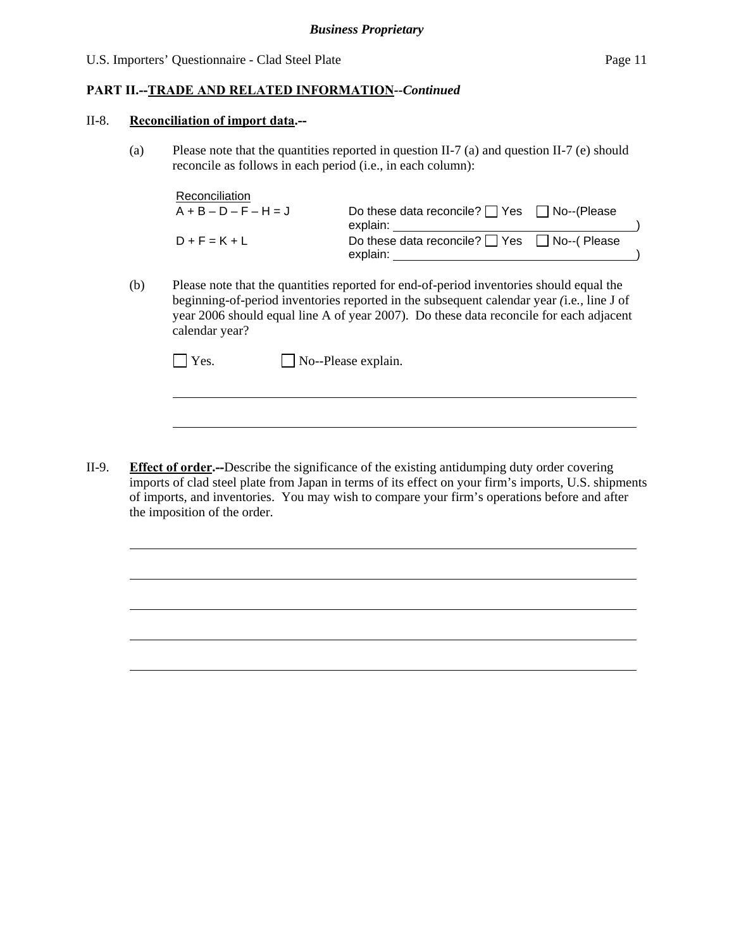#### **PART II.--TRADE AND RELATED INFORMATION***--Continued*

#### II-8. **Reconciliation of import data.--**

l

l

(a) Please note that the quantities reported in question II-7 (a) and question II-7 (e) should reconcile as follows in each period (i.e., in each column):

| Reconciliation          |                                                                    |  |
|-------------------------|--------------------------------------------------------------------|--|
| $A + B - D - F - H = J$ | Do these data reconcile? $\Box$ Yes $\Box$ No--(Please<br>explain: |  |
| $D + F = K + L$         | Do these data reconcile? $\Box$ Yes $\Box$ No--(Please<br>explain: |  |

(b) Please note that the quantities reported for end-of-period inventories should equal the beginning-of-period inventories reported in the subsequent calendar year *(*i.e*.,* line J of year 2006 should equal line A of year 2007). Do these data reconcile for each adjacent calendar year?

| $\Box$ Yes. | $\Box$ No--Please explain. |
|-------------|----------------------------|
|-------------|----------------------------|

II-9. **Effect of order.--**Describe the significance of the existing antidumping duty order covering imports of clad steel plate from Japan in terms of its effect on your firm's imports, U.S. shipments of imports, and inventories. You may wish to compare your firm's operations before and after the imposition of the order.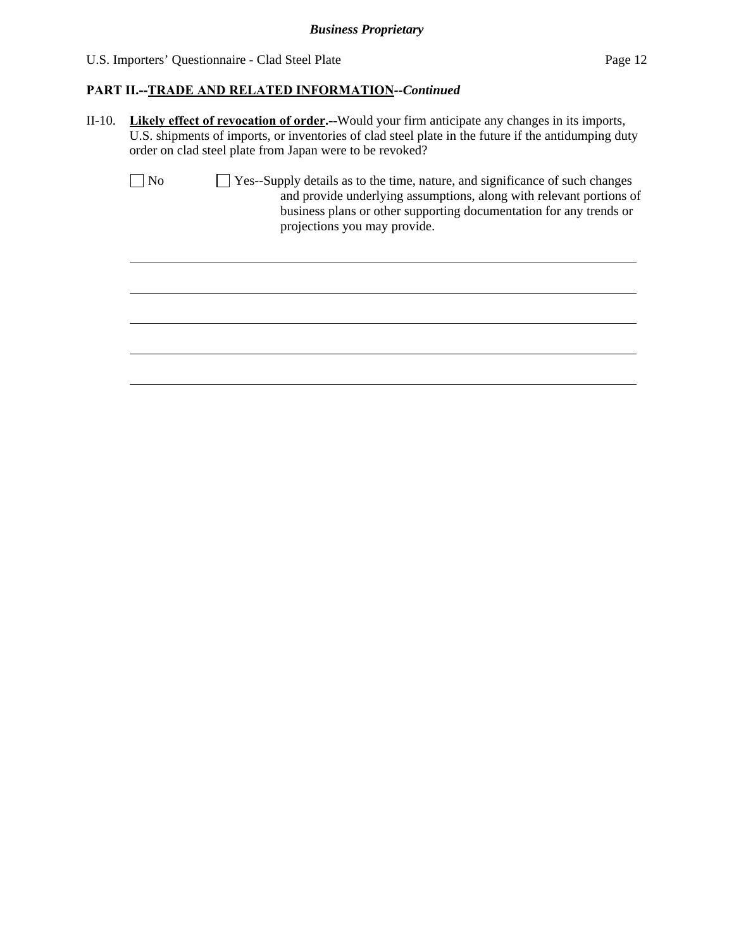$\overline{a}$ 

#### **PART II.--TRADE AND RELATED INFORMATION***--Continued*

II-10. **Likely effect of revocation of order.--**Would your firm anticipate any changes in its imports, U.S. shipments of imports, or inventories of clad steel plate in the future if the antidumping duty order on clad steel plate from Japan were to be revoked?

| $\vert$   No | $\Box$ Yes--Supply details as to the time, nature, and significance of such changes |
|--------------|-------------------------------------------------------------------------------------|
|              | and provide underlying assumptions, along with relevant portions of                 |
|              | business plans or other supporting documentation for any trends or                  |
|              | projections you may provide.                                                        |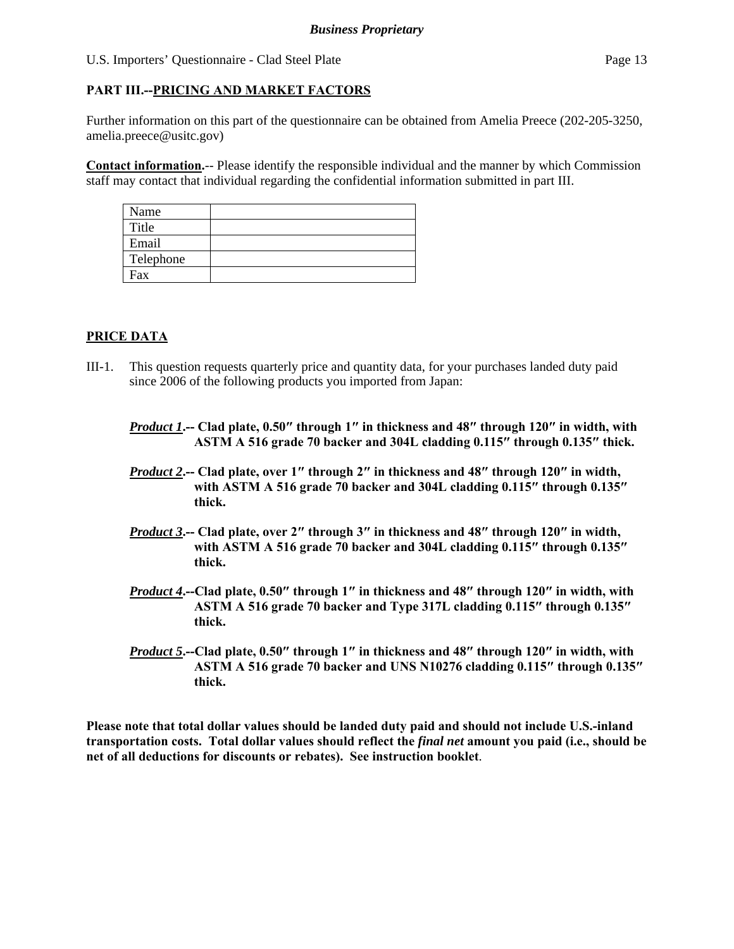#### **PART III.--PRICING AND MARKET FACTORS**

Further information on this part of the questionnaire can be obtained from Amelia Preece (202-205-3250, amelia.preece@usitc.gov)

**Contact information.**-- Please identify the responsible individual and the manner by which Commission staff may contact that individual regarding the confidential information submitted in part III.

| Name      |  |
|-----------|--|
| Title     |  |
| Email     |  |
| Telephone |  |
| Fax       |  |

#### **PRICE DATA**

- III-1. This question requests quarterly price and quantity data, for your purchases landed duty paid since 2006 of the following products you imported from Japan:
	- *Product 1***.-- Clad plate, 0.50″ through 1″ in thickness and 48″ through 120″ in width, with ASTM A 516 grade 70 backer and 304L cladding 0.115″ through 0.135″ thick.**
	- *Product 2***.-- Clad plate, over 1″ through 2″ in thickness and 48″ through 120″ in width, with ASTM A 516 grade 70 backer and 304L cladding 0.115″ through 0.135″ thick.**
	- *Product 3***.-- Clad plate, over 2″ through 3″ in thickness and 48″ through 120″ in width, with ASTM A 516 grade 70 backer and 304L cladding 0.115″ through 0.135″ thick.**
	- *Product 4***.--Clad plate, 0.50″ through 1″ in thickness and 48″ through 120″ in width, with ASTM A 516 grade 70 backer and Type 317L cladding 0.115″ through 0.135″ thick.**
	- *Product 5***.--Clad plate, 0.50″ through 1″ in thickness and 48″ through 120″ in width, with ASTM A 516 grade 70 backer and UNS N10276 cladding 0.115″ through 0.135″ thick.**

**Please note that total dollar values should be landed duty paid and should not include U.S.-inland transportation costs. Total dollar values should reflect the** *final net* **amount you paid (i.e., should be net of all deductions for discounts or rebates). See instruction booklet**.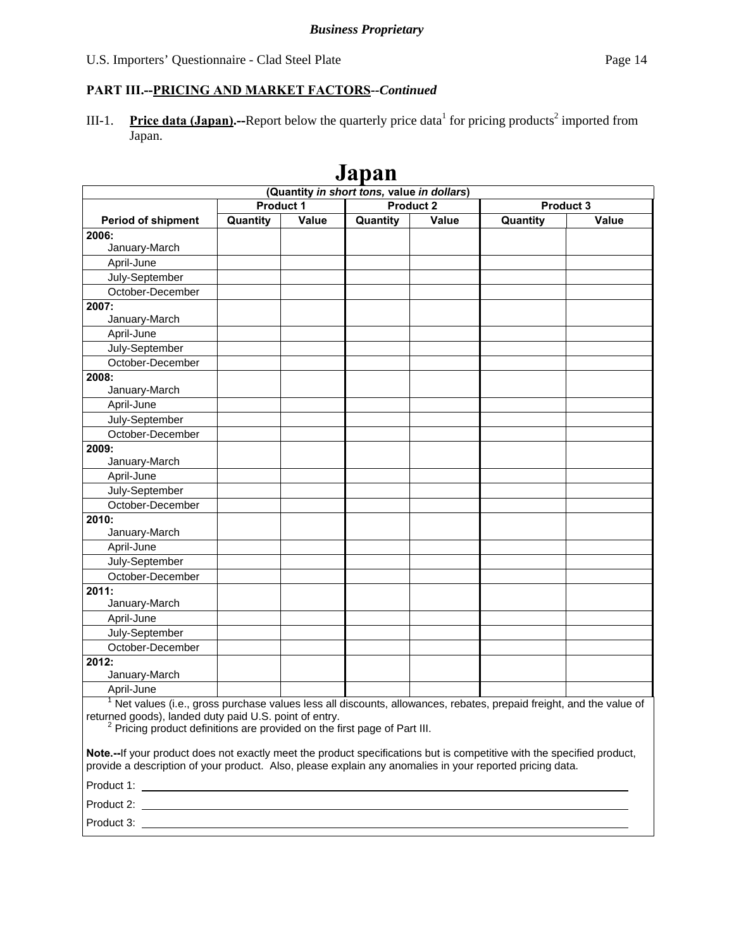#### **PART III.--PRICING AND MARKET FACTORS***--Continued*

III-1. Price data (Japan).--Report below the quarterly price data for pricing products<sup>2</sup> imported from Japan.

|                                                                                                                                                                                                                                                                                   |                  |       | vapan                                      |                  |          |                  |
|-----------------------------------------------------------------------------------------------------------------------------------------------------------------------------------------------------------------------------------------------------------------------------------|------------------|-------|--------------------------------------------|------------------|----------|------------------|
|                                                                                                                                                                                                                                                                                   | <b>Product 1</b> |       | (Quantity in short tons, value in dollars) | <b>Product 2</b> |          | <b>Product 3</b> |
|                                                                                                                                                                                                                                                                                   | Quantity         | Value |                                            | Value            |          |                  |
| <b>Period of shipment</b>                                                                                                                                                                                                                                                         |                  |       | Quantity                                   |                  | Quantity | Value            |
| 2006:<br>January-March                                                                                                                                                                                                                                                            |                  |       |                                            |                  |          |                  |
| April-June                                                                                                                                                                                                                                                                        |                  |       |                                            |                  |          |                  |
|                                                                                                                                                                                                                                                                                   |                  |       |                                            |                  |          |                  |
| July-September                                                                                                                                                                                                                                                                    |                  |       |                                            |                  |          |                  |
| October-December                                                                                                                                                                                                                                                                  |                  |       |                                            |                  |          |                  |
| 2007:<br>January-March                                                                                                                                                                                                                                                            |                  |       |                                            |                  |          |                  |
| April-June                                                                                                                                                                                                                                                                        |                  |       |                                            |                  |          |                  |
| July-September                                                                                                                                                                                                                                                                    |                  |       |                                            |                  |          |                  |
| October-December                                                                                                                                                                                                                                                                  |                  |       |                                            |                  |          |                  |
|                                                                                                                                                                                                                                                                                   |                  |       |                                            |                  |          |                  |
| 2008:<br>January-March                                                                                                                                                                                                                                                            |                  |       |                                            |                  |          |                  |
| April-June                                                                                                                                                                                                                                                                        |                  |       |                                            |                  |          |                  |
|                                                                                                                                                                                                                                                                                   |                  |       |                                            |                  |          |                  |
| July-September                                                                                                                                                                                                                                                                    |                  |       |                                            |                  |          |                  |
| October-December                                                                                                                                                                                                                                                                  |                  |       |                                            |                  |          |                  |
| 2009:<br>January-March                                                                                                                                                                                                                                                            |                  |       |                                            |                  |          |                  |
| April-June                                                                                                                                                                                                                                                                        |                  |       |                                            |                  |          |                  |
| July-September                                                                                                                                                                                                                                                                    |                  |       |                                            |                  |          |                  |
| October-December                                                                                                                                                                                                                                                                  |                  |       |                                            |                  |          |                  |
| 2010:                                                                                                                                                                                                                                                                             |                  |       |                                            |                  |          |                  |
| January-March                                                                                                                                                                                                                                                                     |                  |       |                                            |                  |          |                  |
| April-June                                                                                                                                                                                                                                                                        |                  |       |                                            |                  |          |                  |
| July-September                                                                                                                                                                                                                                                                    |                  |       |                                            |                  |          |                  |
| October-December                                                                                                                                                                                                                                                                  |                  |       |                                            |                  |          |                  |
| 2011:                                                                                                                                                                                                                                                                             |                  |       |                                            |                  |          |                  |
| January-March                                                                                                                                                                                                                                                                     |                  |       |                                            |                  |          |                  |
| April-June                                                                                                                                                                                                                                                                        |                  |       |                                            |                  |          |                  |
| July-September                                                                                                                                                                                                                                                                    |                  |       |                                            |                  |          |                  |
| October-December                                                                                                                                                                                                                                                                  |                  |       |                                            |                  |          |                  |
| 2012:                                                                                                                                                                                                                                                                             |                  |       |                                            |                  |          |                  |
| January-March                                                                                                                                                                                                                                                                     |                  |       |                                            |                  |          |                  |
| April-June                                                                                                                                                                                                                                                                        |                  |       |                                            |                  |          |                  |
| <sup>1</sup> Net values (i.e., gross purchase values less all discounts, allowances, rebates, prepaid freight, and the value of<br>returned goods), landed duty paid U.S. point of entry.<br><sup>2</sup> Pricing product definitions are provided on the first page of Part III. |                  |       |                                            |                  |          |                  |
| Note.--If your product does not exactly meet the product specifications but is competitive with the specified product,<br>provide a description of your product. Also, please explain any anomalies in your reported pricing data.                                                |                  |       |                                            |                  |          |                  |
|                                                                                                                                                                                                                                                                                   |                  |       |                                            |                  |          |                  |
|                                                                                                                                                                                                                                                                                   |                  |       |                                            |                  |          |                  |
| Product 3: Product 3: Product 3: Product 3: Product 3: Product 3: Product 3: Product 3: Product 3: Product 3: Product 3: Product 3: Product 3: Product 3: Product 3: Product 3: Product 3: Product 3: Product 3: Product 3: Pr                                                    |                  |       |                                            |                  |          |                  |

## **Japan**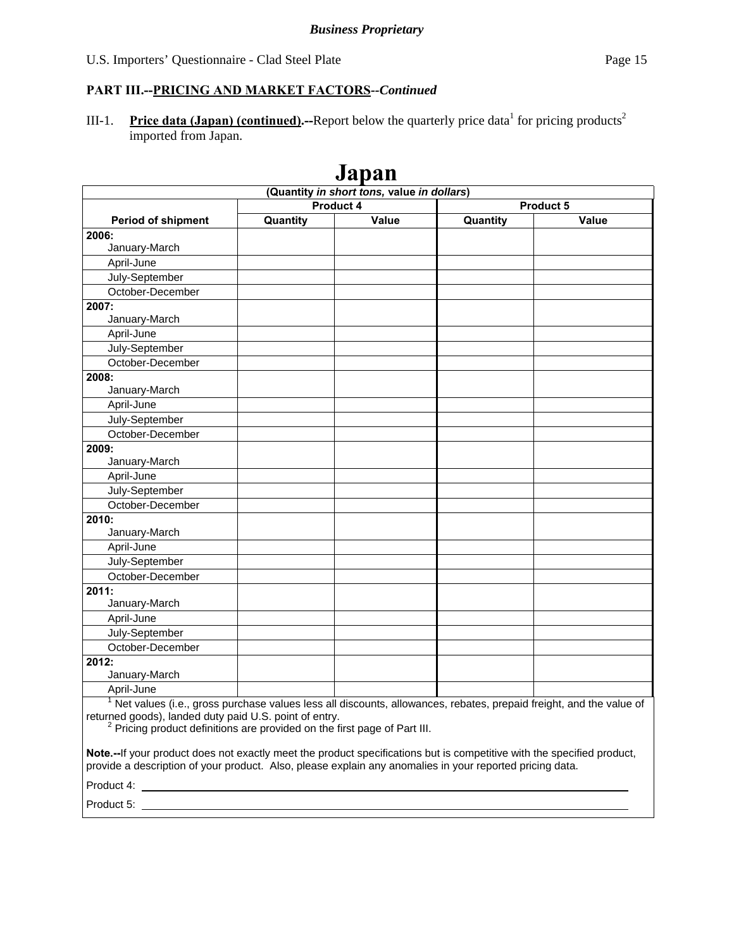III-1. Price data (Japan) (continued).--Report below the quarterly price data<sup>1</sup> for pricing products<sup>2</sup> imported from Japan.

|                                                                                                                                                                                                                                                                                   |          | оарап |          |       |  |  |
|-----------------------------------------------------------------------------------------------------------------------------------------------------------------------------------------------------------------------------------------------------------------------------------|----------|-------|----------|-------|--|--|
| (Quantity in short tons, value in dollars)<br>Product 4<br><b>Product 5</b>                                                                                                                                                                                                       |          |       |          |       |  |  |
| Period of shipment                                                                                                                                                                                                                                                                | Quantity | Value | Quantity | Value |  |  |
| 2006:                                                                                                                                                                                                                                                                             |          |       |          |       |  |  |
| January-March                                                                                                                                                                                                                                                                     |          |       |          |       |  |  |
| April-June                                                                                                                                                                                                                                                                        |          |       |          |       |  |  |
| July-September                                                                                                                                                                                                                                                                    |          |       |          |       |  |  |
| October-December                                                                                                                                                                                                                                                                  |          |       |          |       |  |  |
| 2007:                                                                                                                                                                                                                                                                             |          |       |          |       |  |  |
| January-March                                                                                                                                                                                                                                                                     |          |       |          |       |  |  |
| April-June                                                                                                                                                                                                                                                                        |          |       |          |       |  |  |
| July-September                                                                                                                                                                                                                                                                    |          |       |          |       |  |  |
| October-December                                                                                                                                                                                                                                                                  |          |       |          |       |  |  |
| 2008:                                                                                                                                                                                                                                                                             |          |       |          |       |  |  |
| January-March                                                                                                                                                                                                                                                                     |          |       |          |       |  |  |
| April-June                                                                                                                                                                                                                                                                        |          |       |          |       |  |  |
| July-September                                                                                                                                                                                                                                                                    |          |       |          |       |  |  |
| October-December                                                                                                                                                                                                                                                                  |          |       |          |       |  |  |
| 2009:                                                                                                                                                                                                                                                                             |          |       |          |       |  |  |
| January-March                                                                                                                                                                                                                                                                     |          |       |          |       |  |  |
| April-June                                                                                                                                                                                                                                                                        |          |       |          |       |  |  |
| July-September                                                                                                                                                                                                                                                                    |          |       |          |       |  |  |
| October-December                                                                                                                                                                                                                                                                  |          |       |          |       |  |  |
| 2010:                                                                                                                                                                                                                                                                             |          |       |          |       |  |  |
| January-March                                                                                                                                                                                                                                                                     |          |       |          |       |  |  |
| April-June                                                                                                                                                                                                                                                                        |          |       |          |       |  |  |
| July-September                                                                                                                                                                                                                                                                    |          |       |          |       |  |  |
| October-December                                                                                                                                                                                                                                                                  |          |       |          |       |  |  |
| 2011:                                                                                                                                                                                                                                                                             |          |       |          |       |  |  |
| January-March                                                                                                                                                                                                                                                                     |          |       |          |       |  |  |
| April-June                                                                                                                                                                                                                                                                        |          |       |          |       |  |  |
| July-September                                                                                                                                                                                                                                                                    |          |       |          |       |  |  |
| October-December                                                                                                                                                                                                                                                                  |          |       |          |       |  |  |
| 2012:                                                                                                                                                                                                                                                                             |          |       |          |       |  |  |
| January-March                                                                                                                                                                                                                                                                     |          |       |          |       |  |  |
| April-June                                                                                                                                                                                                                                                                        |          |       |          |       |  |  |
| <sup>1</sup> Net values (i.e., gross purchase values less all discounts, allowances, rebates, prepaid freight, and the value of<br>returned goods), landed duty paid U.S. point of entry.<br><sup>2</sup> Pricing product definitions are provided on the first page of Part III. |          |       |          |       |  |  |
| Note.--If your product does not exactly meet the product specifications but is competitive with the specified product,<br>provide a description of your product. Also, please explain any anomalies in your reported pricing data.<br>Product 4: ___                              |          |       |          |       |  |  |

## **Japan**

Product 5: \_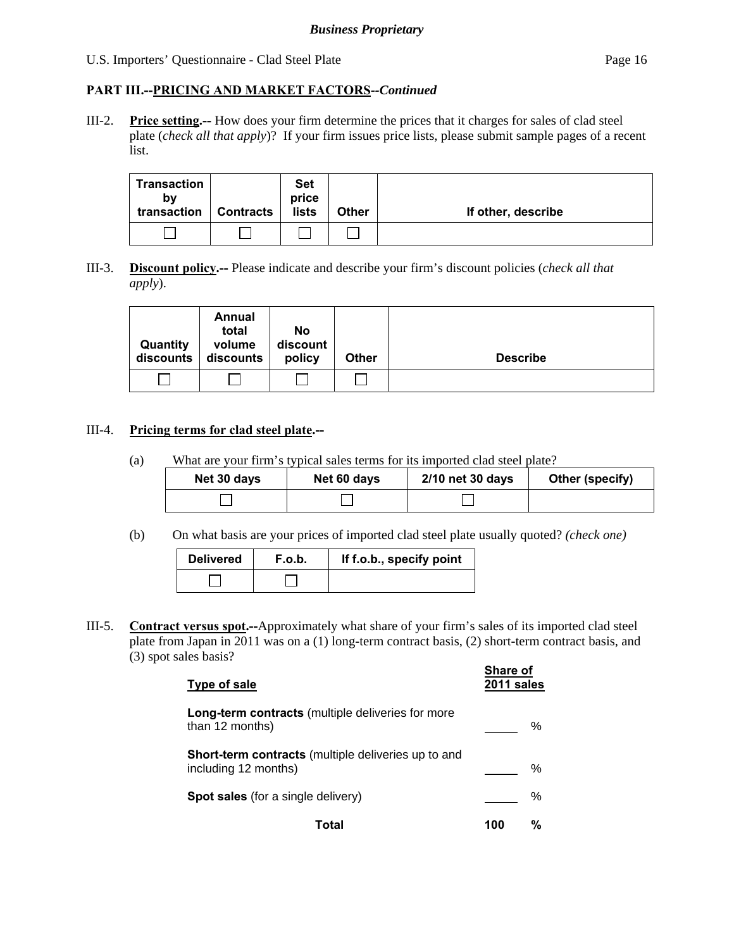#### **PART III.--PRICING AND MARKET FACTORS***--Continued*

III-2. **Price setting.--** How does your firm determine the prices that it charges for sales of clad steel plate (*check all that apply*)? If your firm issues price lists, please submit sample pages of a recent list.

| <b>Transaction</b><br>b٧<br>transaction | <b>Contracts</b> | <b>Set</b><br>price<br>lists | <b>Other</b> | If other, describe |
|-----------------------------------------|------------------|------------------------------|--------------|--------------------|
|                                         |                  |                              |              |                    |

III-3. **Discount policy.--** Please indicate and describe your firm's discount policies (*check all that apply*).

| Quantity<br>discounts | Annual<br>total<br>volume<br>discounts | No<br>discount<br>policy | <b>Other</b> | <b>Describe</b> |
|-----------------------|----------------------------------------|--------------------------|--------------|-----------------|
|                       |                                        |                          |              |                 |

#### III-4. **Pricing terms for clad steel plate.--**

(a) What are your firm's typical sales terms for its imported clad steel plate?

| Net 30 days | Net 60 days | 2/10 net 30 days | Other (specify) |
|-------------|-------------|------------------|-----------------|
|             |             |                  |                 |

(b) On what basis are your prices of imported clad steel plate usually quoted? *(check one)*

| <b>Delivered</b> | F.o.b. | If f.o.b., specify point |
|------------------|--------|--------------------------|
|                  |        |                          |

III-5. **Contract versus spot.--**Approximately what share of your firm's sales of its imported clad steel plate from Japan in 2011 was on a (1) long-term contract basis, (2) short-term contract basis, and (3) spot sales basis?

| Type of sale                                                                | <b>Share of</b><br>2011 sales |
|-----------------------------------------------------------------------------|-------------------------------|
| <b>Long-term contracts</b> (multiple deliveries for more<br>than 12 months) | ℅                             |
| Short-term contracts (multiple deliveries up to and<br>including 12 months) | ℅                             |
| <b>Spot sales</b> (for a single delivery)                                   | %                             |
| Total                                                                       | ℆<br>100                      |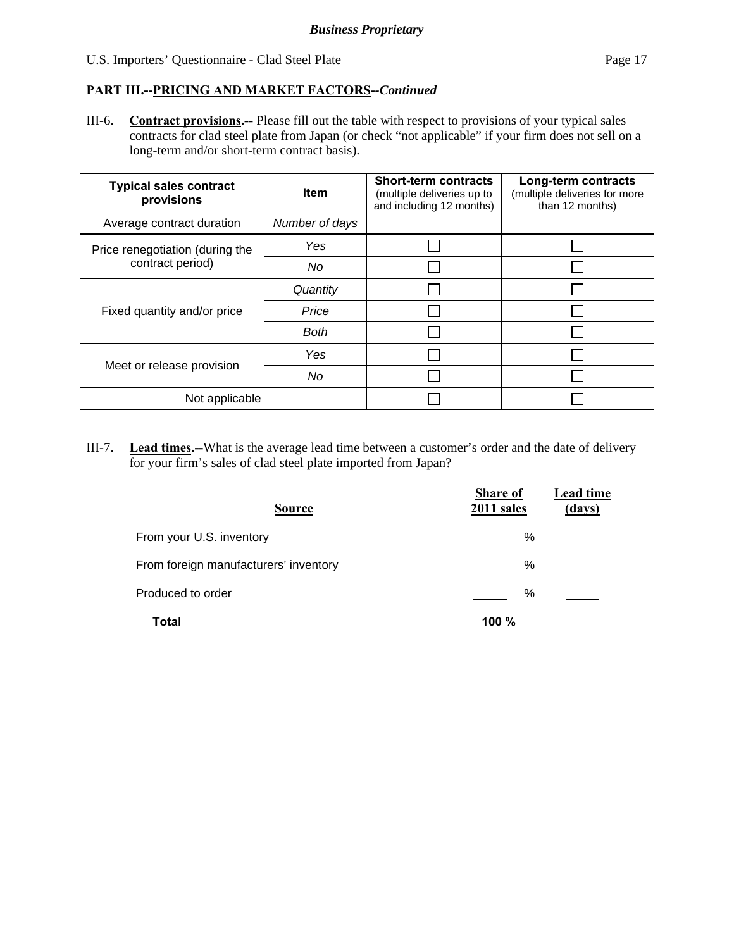III-6. **Contract provisions.--** Please fill out the table with respect to provisions of your typical sales contracts for clad steel plate from Japan (or check "not applicable" if your firm does not sell on a long-term and/or short-term contract basis).

| <b>Typical sales contract</b><br>provisions | <b>Item</b>    | <b>Short-term contracts</b><br>(multiple deliveries up to<br>and including 12 months) | Long-term contracts<br>(multiple deliveries for more<br>than 12 months) |
|---------------------------------------------|----------------|---------------------------------------------------------------------------------------|-------------------------------------------------------------------------|
| Average contract duration                   | Number of days |                                                                                       |                                                                         |
| Price renegotiation (during the             | Yes            |                                                                                       |                                                                         |
| contract period)                            | No             |                                                                                       |                                                                         |
|                                             | Quantity       |                                                                                       |                                                                         |
| Fixed quantity and/or price                 | Price          |                                                                                       |                                                                         |
|                                             | <b>Both</b>    |                                                                                       |                                                                         |
|                                             | Yes            |                                                                                       |                                                                         |
| Meet or release provision                   | No             |                                                                                       |                                                                         |
| Not applicable                              |                |                                                                                       |                                                                         |

III-7. **Lead times.--**What is the average lead time between a customer's order and the date of delivery for your firm's sales of clad steel plate imported from Japan?

| <b>Source</b>                         | Share of<br>2011 sales | Lead time<br>(days) |
|---------------------------------------|------------------------|---------------------|
| From your U.S. inventory              | %                      |                     |
| From foreign manufacturers' inventory | $\%$                   |                     |
| Produced to order                     | $\%$                   |                     |
| Total                                 | 100 %                  |                     |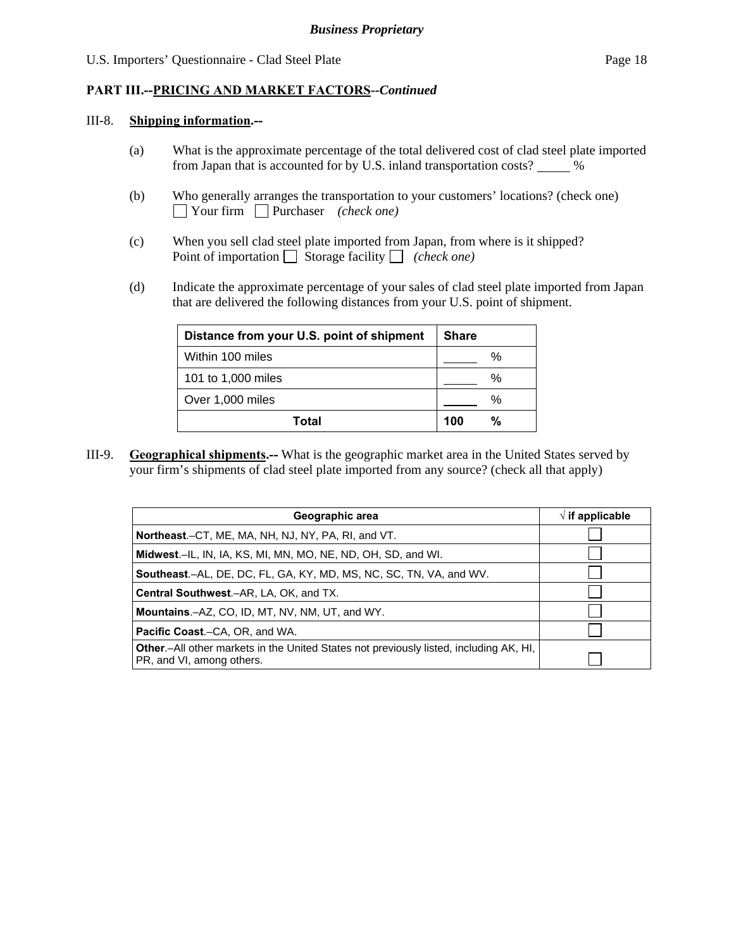#### III-8. **Shipping information.--**

- (a) What is the approximate percentage of the total delivered cost of clad steel plate imported from Japan that is accounted for by U.S. inland transportation costs?  $\_\_\_\_\%$
- (b) Who generally arranges the transportation to your customers' locations? (check one) Your firm Purchaser *(check one)*
- (c) When you sell clad steel plate imported from Japan, from where is it shipped? Point of importation  $\Box$  Storage facility  $\Box$  *(check one)*
- (d) Indicate the approximate percentage of your sales of clad steel plate imported from Japan that are delivered the following distances from your U.S. point of shipment.

| Distance from your U.S. point of shipment | <b>Share</b> |
|-------------------------------------------|--------------|
| Within 100 miles                          | $\%$         |
| 101 to 1,000 miles                        | %            |
| Over 1,000 miles                          | $\%$         |
| Total                                     | %<br>100     |

III-9. **Geographical shipments.--** What is the geographic market area in the United States served by your firm's shipments of clad steel plate imported from any source? (check all that apply)

| Geographic area                                                                                                     | $\sqrt{ }$ if applicable |
|---------------------------------------------------------------------------------------------------------------------|--------------------------|
| Northeast.–CT, ME, MA, NH, NJ, NY, PA, RI, and VT.                                                                  |                          |
| Midwest.-IL, IN, IA, KS, MI, MN, MO, NE, ND, OH, SD, and WI.                                                        |                          |
| <b>Southeast.–AL, DE, DC, FL, GA, KY, MD, MS, NC, SC, TN, VA, and WV.</b>                                           |                          |
| <b>Central Southwest.–AR, LA, OK, and TX.</b>                                                                       |                          |
| Mountains.-AZ, CO, ID, MT, NV, NM, UT, and WY.                                                                      |                          |
| <b>Pacific Coast.–CA, OR, and WA.</b>                                                                               |                          |
| Other.-All other markets in the United States not previously listed, including AK, HI,<br>PR, and VI, among others. |                          |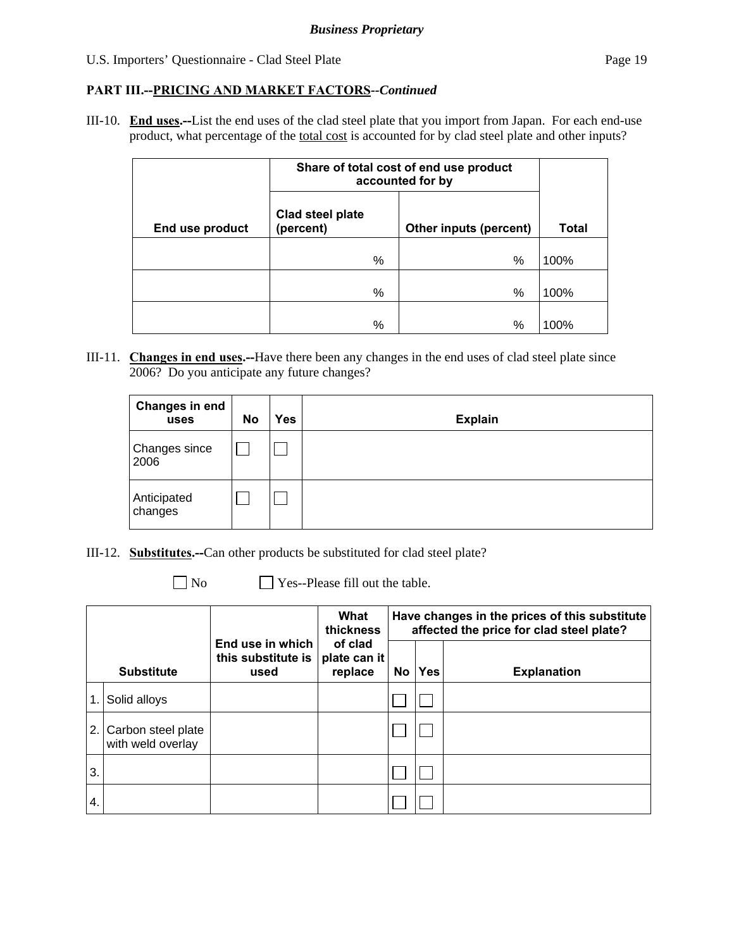#### **PART III.--PRICING AND MARKET FACTORS***--Continued*

III-10. **End uses.--**List the end uses of the clad steel plate that you import from Japan. For each end-use product, what percentage of the total cost is accounted for by clad steel plate and other inputs?

|                 | Share of total cost of end use product<br>accounted for by |                        |              |
|-----------------|------------------------------------------------------------|------------------------|--------------|
| End use product | Clad steel plate<br>(percent)                              | Other inputs (percent) | <b>Total</b> |
|                 | %                                                          | %                      | 100%         |
|                 | %                                                          | %                      | 100%         |
|                 | %                                                          | %                      | 100%         |

III-11. **Changes in end uses.--**Have there been any changes in the end uses of clad steel plate since 2006? Do you anticipate any future changes?

| <b>Changes in end</b><br>uses | <b>No</b> | Yes | <b>Explain</b> |
|-------------------------------|-----------|-----|----------------|
| <b>Changes since</b><br>2006  |           |     |                |
| Anticipated<br>changes        |           |     |                |

- III-12. **Substitutes.--**Can other products be substituted for clad steel plate?
	-
	- No Ses--Please fill out the table.

|     |                                         |                                                | What<br>thickness                  | Have changes in the prices of this substitute<br>affected the price for clad steel plate? |            |                    |
|-----|-----------------------------------------|------------------------------------------------|------------------------------------|-------------------------------------------------------------------------------------------|------------|--------------------|
|     | <b>Substitute</b>                       | End use in which<br>this substitute is<br>used | of clad<br>plate can it<br>replace | No                                                                                        | <b>Yes</b> | <b>Explanation</b> |
| 1.  | Solid alloys                            |                                                |                                    |                                                                                           |            |                    |
| 2.1 | Carbon steel plate<br>with weld overlay |                                                |                                    |                                                                                           |            |                    |
| 3.  |                                         |                                                |                                    |                                                                                           |            |                    |
| 4.  |                                         |                                                |                                    |                                                                                           |            |                    |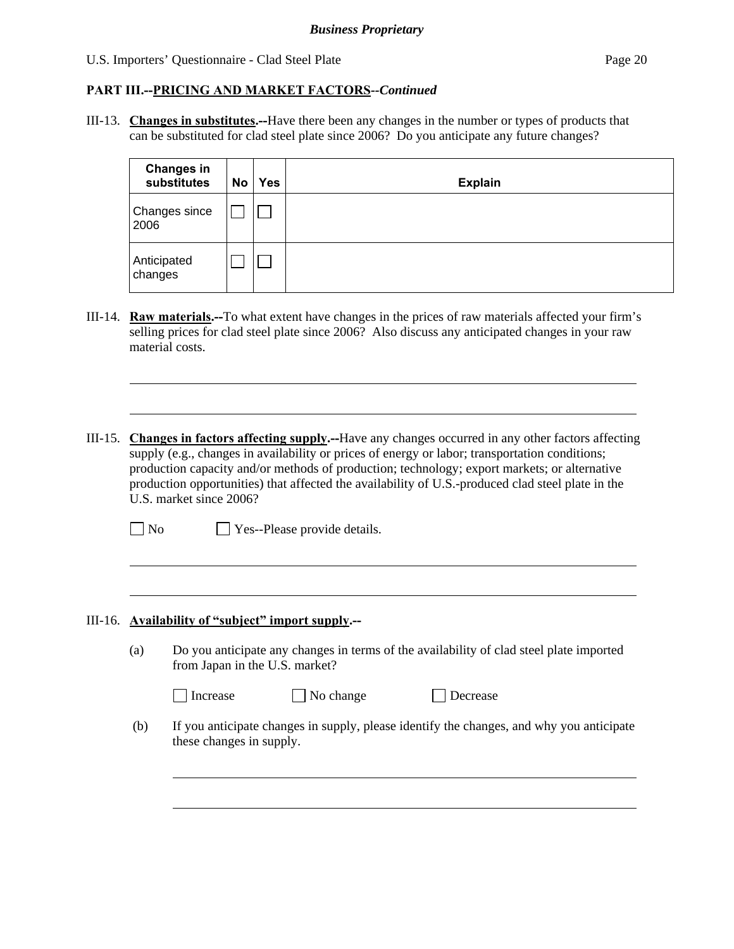#### **PART III.--PRICING AND MARKET FACTORS***--Continued*

III-13. **Changes in substitutes.--**Have there been any changes in the number or types of products that can be substituted for clad steel plate since 2006? Do you anticipate any future changes?

| <b>Changes in</b><br>substitutes | No | <b>Yes</b> | <b>Explain</b> |
|----------------------------------|----|------------|----------------|
| Changes since<br>2006            |    |            |                |
| Anticipated<br>changes           |    |            |                |

- III-14. **Raw materials.--**To what extent have changes in the prices of raw materials affected your firm's selling prices for clad steel plate since 2006? Also discuss any anticipated changes in your raw material costs.
- III-15. **Changes in factors affecting supply.--**Have any changes occurred in any other factors affecting supply (e.g., changes in availability or prices of energy or labor; transportation conditions; production capacity and/or methods of production; technology; export markets; or alternative production opportunities) that affected the availability of U.S.-produced clad steel plate in the U.S. market since 2006?
	- No Yes--Please provide details.

#### III-16. **Availability of "subject" import supply.--**

l

l

 $\overline{a}$ 

(a) Do you anticipate any changes in terms of the availability of clad steel plate imported from Japan in the U.S. market?

| Increase |  |
|----------|--|

No change Decrease

 (b) If you anticipate changes in supply, please identify the changes, and why you anticipate these changes in supply.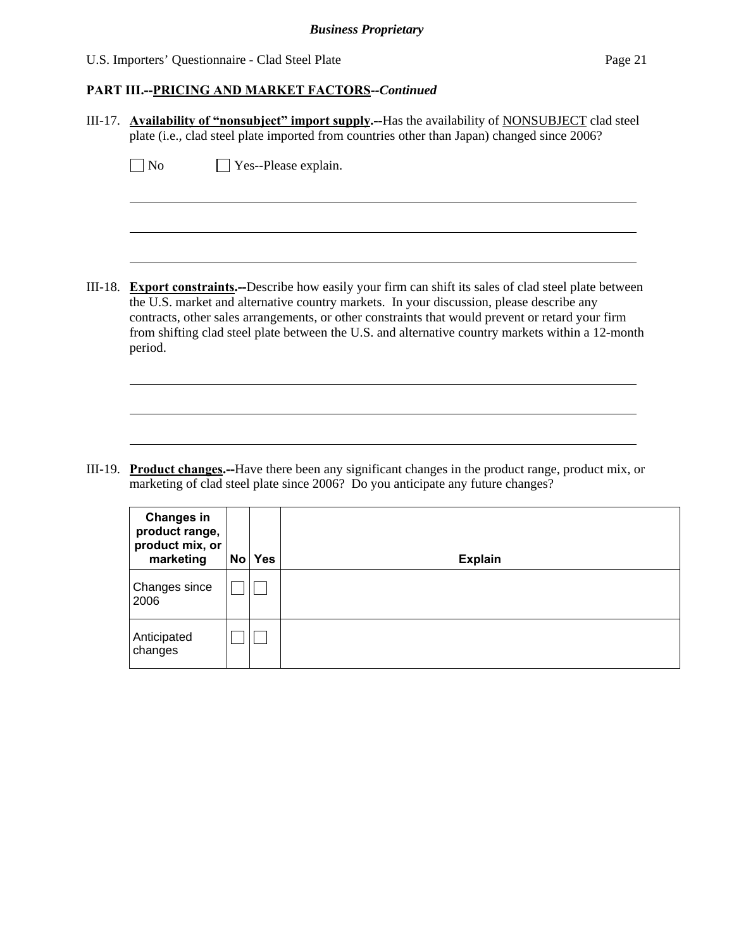#### *Business Proprietary*

U.S. Importers' Questionnaire - Clad Steel Plate Page 21

Anticipated changes

 $\Box$ 

### **PART III.--PRICING AND MARKET FACTORS***--Continued*

| III-17. Availability of "nonsubject" import supply.--Has the availability of NONSUBJECT clad steel<br>plate (i.e., clad steel plate imported from countries other than Japan) changed since 2006? |                                                                                                                                                                                                                                                                                                                                                                                                                            |  |        |                      |  |  |
|---------------------------------------------------------------------------------------------------------------------------------------------------------------------------------------------------|----------------------------------------------------------------------------------------------------------------------------------------------------------------------------------------------------------------------------------------------------------------------------------------------------------------------------------------------------------------------------------------------------------------------------|--|--------|----------------------|--|--|
|                                                                                                                                                                                                   | N <sub>o</sub>                                                                                                                                                                                                                                                                                                                                                                                                             |  |        | Yes--Please explain. |  |  |
|                                                                                                                                                                                                   |                                                                                                                                                                                                                                                                                                                                                                                                                            |  |        |                      |  |  |
|                                                                                                                                                                                                   | III-18. Export constraints.--Describe how easily your firm can shift its sales of clad steel plate between<br>the U.S. market and alternative country markets. In your discussion, please describe any<br>contracts, other sales arrangements, or other constraints that would prevent or retard your firm<br>from shifting clad steel plate between the U.S. and alternative country markets within a 12-month<br>period. |  |        |                      |  |  |
| III-19.                                                                                                                                                                                           | <b>Product changes.</b> —Have there been any significant changes in the product range, product mix, or<br>marketing of clad steel plate since 2006? Do you anticipate any future changes?                                                                                                                                                                                                                                  |  |        |                      |  |  |
|                                                                                                                                                                                                   | <b>Changes in</b><br>product range,<br>product mix, or<br>marketing                                                                                                                                                                                                                                                                                                                                                        |  | No Yes | <b>Explain</b>       |  |  |
|                                                                                                                                                                                                   | Changes since<br>2006                                                                                                                                                                                                                                                                                                                                                                                                      |  |        |                      |  |  |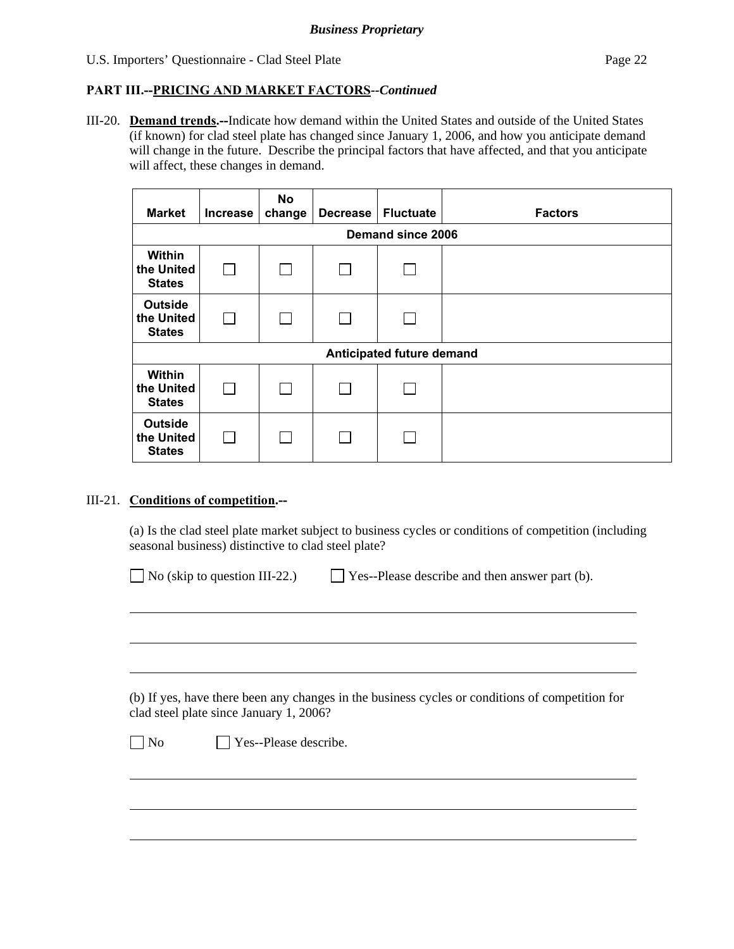III-20. **Demand trends.--**Indicate how demand within the United States and outside of the United States (if known) for clad steel plate has changed since January 1, 2006, and how you anticipate demand will change in the future. Describe the principal factors that have affected, and that you anticipate will affect, these changes in demand.

| <b>Market</b>                                 | <b>Increase</b>           | No<br>change | <b>Decrease</b> | <b>Fluctuate</b> | <b>Factors</b> |
|-----------------------------------------------|---------------------------|--------------|-----------------|------------------|----------------|
| Demand since 2006                             |                           |              |                 |                  |                |
| Within<br>the United<br><b>States</b>         |                           |              |                 |                  |                |
| <b>Outside</b><br>the United<br><b>States</b> |                           |              |                 |                  |                |
|                                               | Anticipated future demand |              |                 |                  |                |
| Within<br>the United<br><b>States</b>         |                           |              |                 |                  |                |
| <b>Outside</b><br>the United<br><b>States</b> |                           |              |                 |                  |                |

#### III-21. **Conditions of competition.--**

l

 $\overline{a}$ 

(a) Is the clad steel plate market subject to business cycles or conditions of competition (including seasonal business) distinctive to clad steel plate?

| $\Box$ Yes--Please describe and then answer part (b).<br>$\Box$ No (skip to question III-22.) |  |
|-----------------------------------------------------------------------------------------------|--|
|-----------------------------------------------------------------------------------------------|--|

 (b) If yes, have there been any changes in the business cycles or conditions of competition for clad steel plate since January 1, 2006?

No **Yes--Please describe.**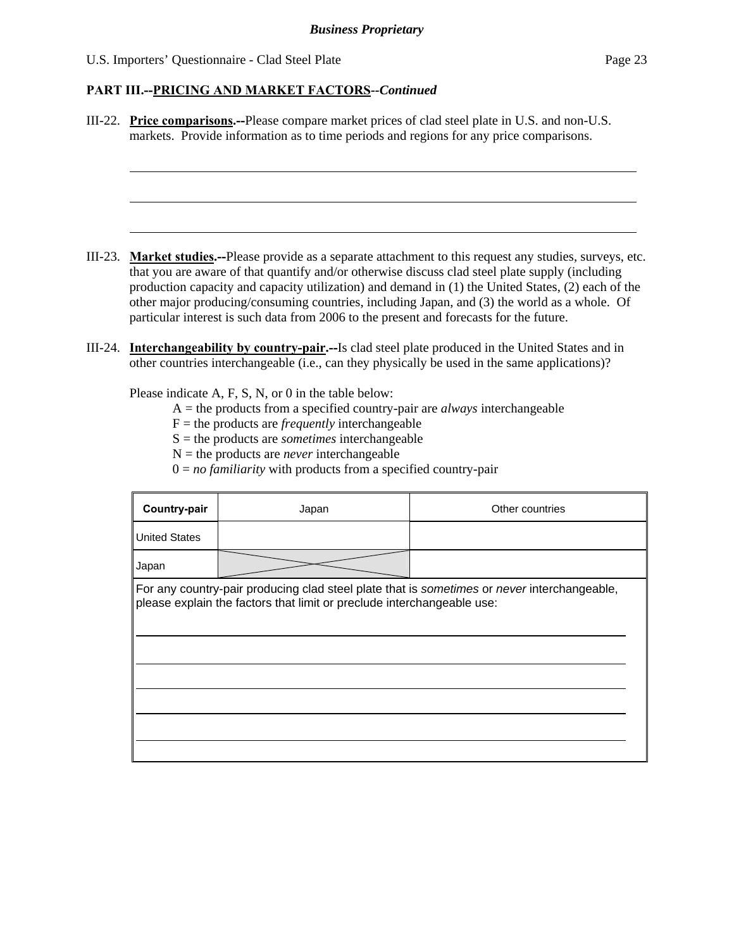l

#### **PART III.--PRICING AND MARKET FACTORS***--Continued*

III-22. **Price comparisons.--**Please compare market prices of clad steel plate in U.S. and non-U.S. markets. Provide information as to time periods and regions for any price comparisons.

- III-23. **Market studies.--**Please provide as a separate attachment to this request any studies, surveys, etc. that you are aware of that quantify and/or otherwise discuss clad steel plate supply (including production capacity and capacity utilization) and demand in (1) the United States, (2) each of the other major producing/consuming countries, including Japan, and (3) the world as a whole. Of particular interest is such data from 2006 to the present and forecasts for the future.
- III-24. **Interchangeability by country-pair.--**Is clad steel plate produced in the United States and in other countries interchangeable (i.e., can they physically be used in the same applications)?

Please indicate A, F, S, N, or 0 in the table below:

- A = the products from a specified country-pair are *always* interchangeable
- $F =$  the products are *frequently* interchangeable
- S = the products are *sometimes* interchangeable
- $N =$  the products are *never* interchangeable
- $0 = no$  *familiarity* with products from a specified country-pair

| Country-pair                                                                                                                                                          | Japan | Other countries |  |  |  |
|-----------------------------------------------------------------------------------------------------------------------------------------------------------------------|-------|-----------------|--|--|--|
| <b>United States</b>                                                                                                                                                  |       |                 |  |  |  |
| Japan                                                                                                                                                                 |       |                 |  |  |  |
| For any country-pair producing clad steel plate that is sometimes or never interchangeable,<br>please explain the factors that limit or preclude interchangeable use: |       |                 |  |  |  |
|                                                                                                                                                                       |       |                 |  |  |  |